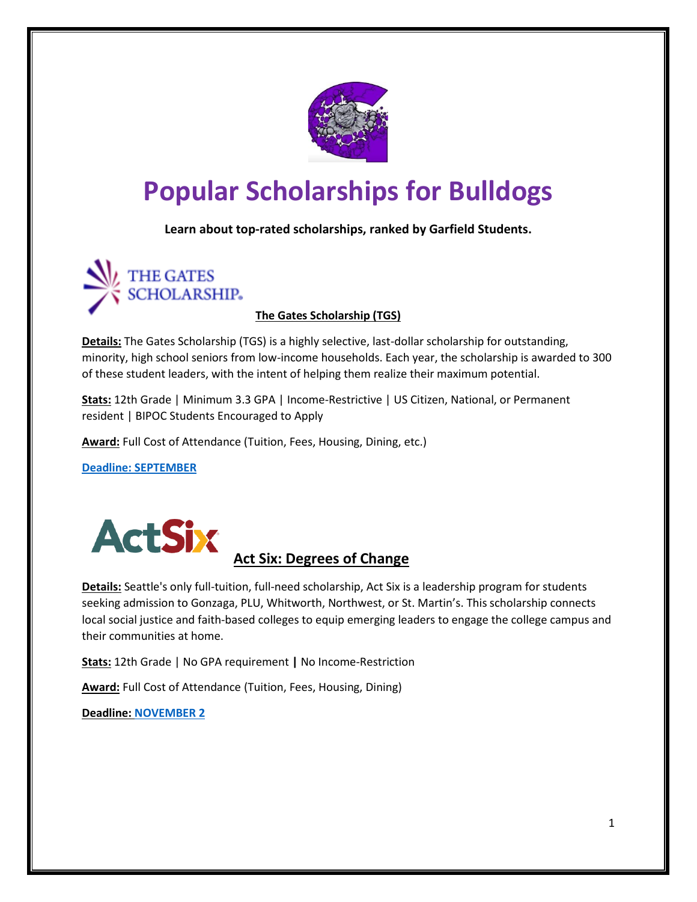

# **Popular Scholarships for Bulldogs**

**Learn about top-rated scholarships, ranked by Garfield Students.**



**The Gates Scholarship (TGS)**

**Details:** The Gates Scholarship (TGS) is a highly selective, last-dollar scholarship for outstanding, minority, high school seniors from low-income households. Each year, the scholarship is awarded to 300 of these student leaders, with the intent of helping them realize their maximum potential.

**Stats:** 12th Grade | Minimum 3.3 GPA | Income-Restrictive | US Citizen, National, or Permanent resident | BIPOC Students Encouraged to Apply

**Award:** Full Cost of Attendance (Tuition, Fees, Housing, Dining, etc.)

**[Deadline: SEPTEMBER](https://www.thegatesscholarship.org/scholarship)**



# **Act Six: Degrees of Change**

**Details:** Seattle's only full-tuition, full-need scholarship, Act Six is a leadership program for students seeking admission to Gonzaga, PLU, Whitworth, Northwest, or St. Martin's. This scholarship connects local social justice and faith-based colleges to equip emerging leaders to engage the college campus and their communities at home.

**Stats:** 12th Grade | No GPA requirement **|** No Income-Restriction

**Award:** Full Cost of Attendance (Tuition, Fees, Housing, Dining)

**Deadline: [NOVEMBER](https://www.actsix.org/program-sites/tacoma-seattle/) 2**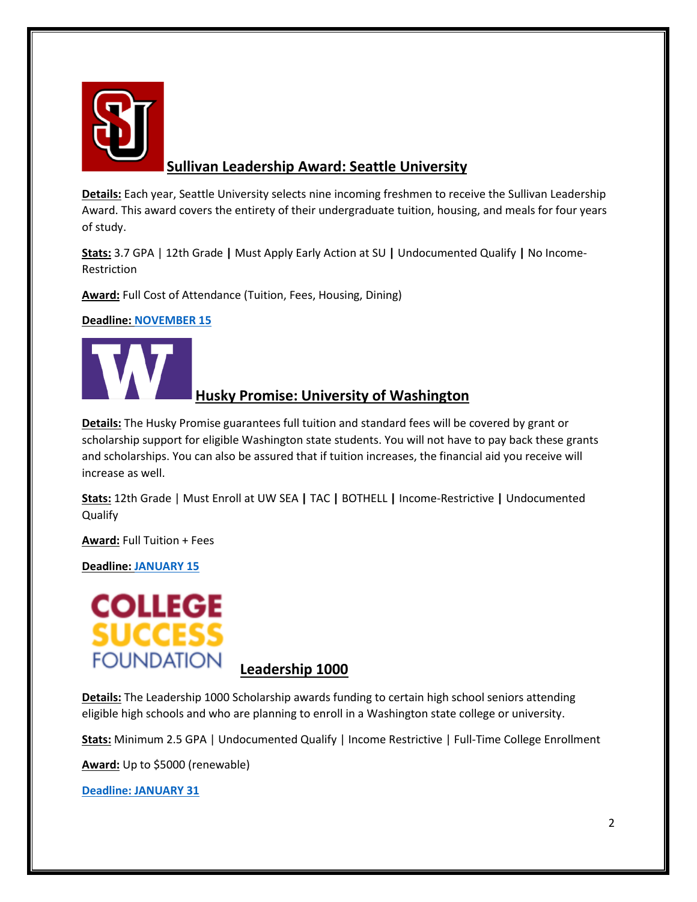

# **Sullivan Leadership Award: Seattle University**

**Details:** Each year, Seattle University selects nine incoming freshmen to receive the Sullivan Leadership Award. This award covers the entirety of their undergraduate tuition, housing, and meals for four years of study.

**Stats:** 3.7 GPA | 12th Grade **|** Must Apply Early Action at SU **|** Undocumented Qualify **|** No Income-Restriction

**Award:** Full Cost of Attendance (Tuition, Fees, Housing, Dining)

**Deadline: [NOVEMBER 15](https://www.seattleu.edu/sullivan/)**



# **Husky Promise: University of Washington**

**Details:** The Husky Promise guarantees full tuition and standard fees will be covered by grant or scholarship support for eligible Washington state students. You will not have to pay back these grants and scholarships. You can also be assured that if tuition increases, the financial aid you receive will increase as well.

**Stats:** 12th Grade | Must Enroll at UW SEA **|** TAC **|** BOTHELL **|** Income-Restrictive **|** Undocumented Qualify

**Award:** Full Tuition + Fees

**Deadline: [JANUARY 15](https://www.washington.edu/huskypromise/)**



### **Leadership 1000**

**Details:** The Leadership 1000 Scholarship awards funding to certain high school seniors attending eligible high schools and who are planning to enroll in a Washington state college or university.

**Stats:** Minimum 2.5 GPA | Undocumented Qualify | Income Restrictive | Full-Time College Enrollment

**Award:** Up to \$5000 (renewable)

**[Deadline: JANUARY 31](https://www.collegesuccessfoundation.org/scholarship/leadership-1000-scholarship/#application)**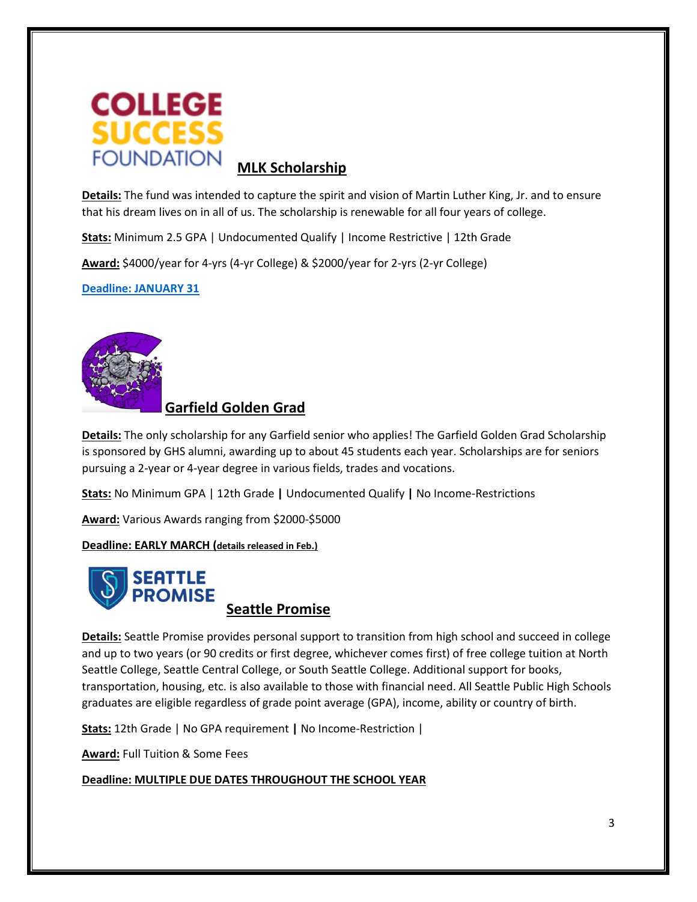

**Details:** The fund was intended to capture the spirit and vision of Martin Luther King, Jr. and to ensure that his dream lives on in all of us. The scholarship is renewable for all four years of college.

**Stats:** Minimum 2.5 GPA | Undocumented Qualify | Income Restrictive | 12th Grade

**Award:** \$4000/year for 4-yrs (4-yr College) & \$2000/year for 2-yrs (2-yr College)

**[Deadline: JANUARY 31](https://www.collegesuccessfoundation.org/scholarship/martin-luther-king-jr-scholarship/#eligibility)**



## **Garfield Golden Grad**

**Details:** The only scholarship for any Garfield senior who applies! The Garfield Golden Grad Scholarship is sponsored by GHS alumni, awarding up to about 45 students each year. Scholarships are for seniors pursuing a 2-year or 4-year degree in various fields, trades and vocations.

**Stats:** No Minimum GPA | 12th Grade **|** Undocumented Qualify **|** No Income-Restrictions

**Award:** Various Awards ranging from \$2000-\$5000

**Deadline: EARLY MARCH (details released in Feb.)**



**Details:** Seattle Promise provides personal support to transition from high school and succeed in college and up to two years (or 90 credits or first degree, whichever comes first) of free college tuition at North Seattle College, Seattle Central College, or South Seattle College. Additional support for books, transportation, housing, etc. is also available to those with financial need. All Seattle Public High Schools graduates are eligible regardless of grade point average (GPA), income, ability or country of birth.

**Stats:** 12th Grade | No GPA requirement **|** No Income-Restriction |

**Award:** Full Tuition & Some Fees

**Deadline: MULTIPLE DUE DATES THROUGHOUT THE SCHOOL YEAR**